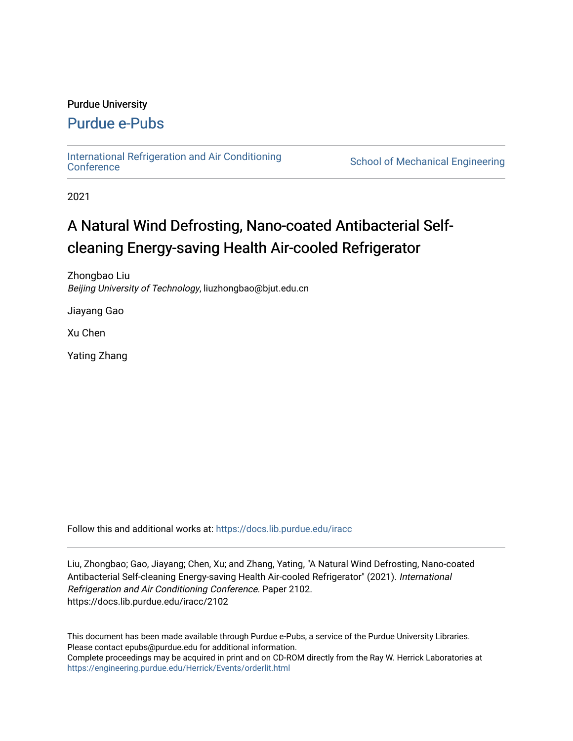### Purdue University

### [Purdue e-Pubs](https://docs.lib.purdue.edu/)

[International Refrigeration and Air Conditioning](https://docs.lib.purdue.edu/iracc) 

School of Mechanical Engineering

2021

## A Natural Wind Defrosting, Nano-coated Antibacterial Selfcleaning Energy-saving Health Air-cooled Refrigerator

Zhongbao Liu Beijing University of Technology, liuzhongbao@bjut.edu.cn

Jiayang Gao

Xu Chen

Yating Zhang

Follow this and additional works at: [https://docs.lib.purdue.edu/iracc](https://docs.lib.purdue.edu/iracc?utm_source=docs.lib.purdue.edu%2Firacc%2F2102&utm_medium=PDF&utm_campaign=PDFCoverPages)

Liu, Zhongbao; Gao, Jiayang; Chen, Xu; and Zhang, Yating, "A Natural Wind Defrosting, Nano-coated Antibacterial Self-cleaning Energy-saving Health Air-cooled Refrigerator" (2021). International Refrigeration and Air Conditioning Conference. Paper 2102. https://docs.lib.purdue.edu/iracc/2102

This document has been made available through Purdue e-Pubs, a service of the Purdue University Libraries. Please contact epubs@purdue.edu for additional information. Complete proceedings may be acquired in print and on CD-ROM directly from the Ray W. Herrick Laboratories at <https://engineering.purdue.edu/Herrick/Events/orderlit.html>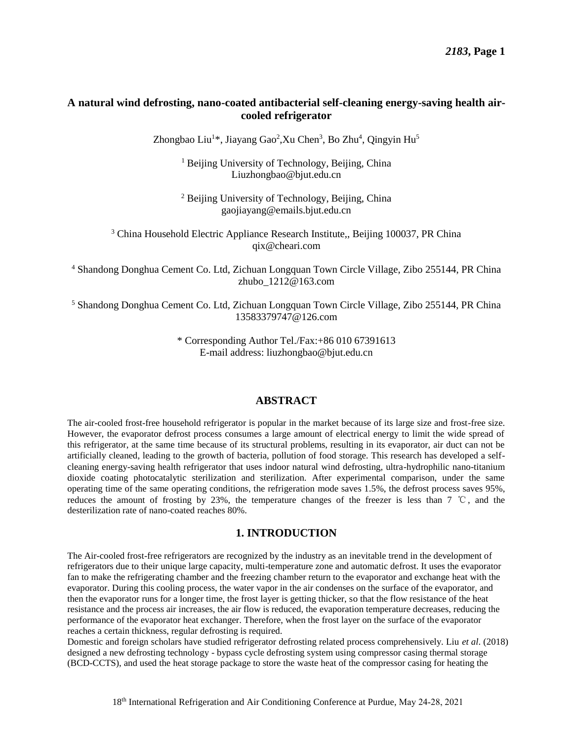### **A natural wind defrosting, nano-coated antibacterial self-cleaning energy-saving health aircooled refrigerator**

Zhongbao Liu<sup>1\*</sup>, Jiayang Gao<sup>2</sup>, Xu Chen<sup>3</sup>, Bo Zhu<sup>4</sup>, Qingyin Hu<sup>5</sup>

<sup>1</sup> Beijing University of Technology, Beijing, China Liuzhongbao@bjut.edu.cn

<sup>2</sup> Beijing University of Technology, Beijing, China gaojiayang@emails.bjut.edu.cn

<sup>3</sup> China Household Electric Appliance Research Institute, Beijing 100037, PR China [qix@cheari.com](mailto:qix@cheari.com) 

4 Shandong Donghua Cement Co. Ltd, Zichuan Longquan Town Circle Village, Zibo 255144, PR China [zhubo\\_1212@163.com](mailto:zhubo_1212@163.com) 

5 Shandong Donghua Cement Co. Ltd, Zichuan Longquan Town Circle Village, Zibo 255144, PR China [13583379747@126.com](mailto:13583379747@126.com) 

> \* Corresponding Author Tel./Fax:+86 010 67391613 E-mail address: liuzhongbao@bjut.edu.cn

### **ABSTRACT**

 The air-cooled frost-free household refrigerator is popular in the market because of its large size and frost-free size. However, the evaporator defrost process consumes a large amount of electrical energy to limit the wide spread of this refrigerator, at the same time because of its structural problems, resulting in its evaporator, air duct can not be artificially cleaned, leading to the growth of bacteria, pollution of food storage. This research has developed a self- cleaning energy-saving health refrigerator that uses indoor natural wind defrosting, ultra-hydrophilic nano-titanium dioxide coating photocatalytic sterilization and sterilization. After experimental comparison, under the same operating time of the same operating conditions, the refrigeration mode saves 1.5%, the defrost process saves 95%, reduces the amount of frosting by 23%, the temperature changes of the freezer is less than 7 ℃, and the desterilization rate of nano-coated reaches 80%.

### **1. INTRODUCTION**

The Air-cooled frost-free refrigerators are recognized by the industry as an inevitable trend in the development of refrigerators due to their unique large capacity, multi-temperature zone and automatic defrost. It uses the evaporator fan to make the refrigerating chamber and the freezing chamber return to the evaporator and exchange heat with the evaporator. During this cooling process, the water vapor in the air condenses on the surface of the evaporator, and then the evaporator runs for a longer time, the frost layer is getting thicker, so that the flow resistance of the heat resistance and the process air increases, the air flow is reduced, the evaporation temperature decreases, reducing the performance of the evaporator heat exchanger. Therefore, when the frost layer on the surface of the evaporator reaches a certain thickness, regular defrosting is required.

Domestic and foreign scholars have studied refrigerator defrosting related process comprehensively. Liu *et al*. (2018) designed a new defrosting technology - bypass cycle defrosting system using compressor casing thermal storage (BCD-CCTS), and used the heat storage package to store the waste heat of the compressor casing for heating the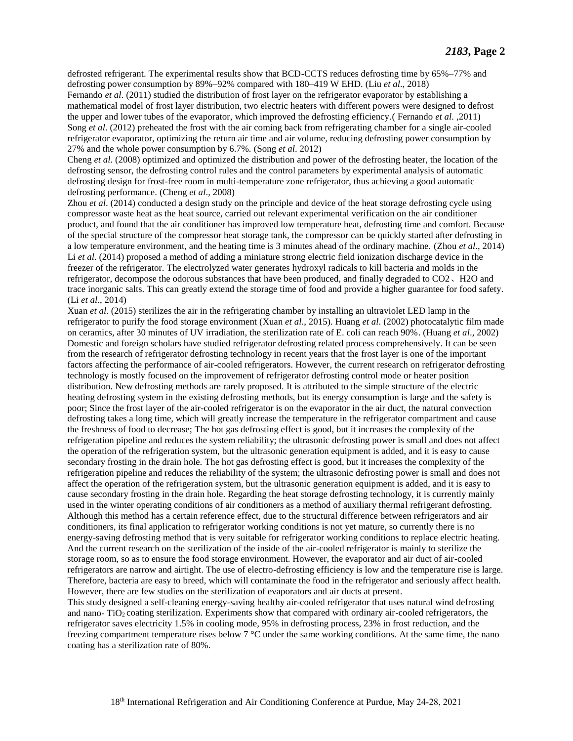defrosted refrigerant. The experimental results show that BCD-CCTS reduces defrosting time by 65%–77% and defrosting power consumption by 89%–92% compared with 180–419 W EHD. (Liu *et al*., 2018) Fernando *et al*. (2011) studied the distribution of frost layer on the refrigerator evaporator by establishing a mathematical model of frost layer distribution, two electric heaters with different powers were designed to defrost the upper and lower tubes of the evaporator, which improved the defrosting efficiency.( Fernando *et al*. ,2011) Song *et al*. (2012) preheated the frost with the air coming back from refrigerating chamber for a single air-cooled refrigerator evaporator, optimizing the return air time and air volume, reducing defrosting power consumption by 27% and the whole power consumption by 6.7%. (Song *et al*. 2012)

Cheng *et al*. (2008) optimized and optimized the distribution and power of the defrosting heater, the location of the defrosting sensor, the defrosting control rules and the control parameters by experimental analysis of automatic defrosting design for frost-free room in multi-temperature zone refrigerator, thus achieving a good automatic defrosting performance. (Cheng *et al*., 2008)

Zhou *et al*. (2014) conducted a design study on the principle and device of the heat storage defrosting cycle using compressor waste heat as the heat source, carried out relevant experimental verification on the air conditioner product, and found that the air conditioner has improved low temperature heat, defrosting time and comfort. Because of the special structure of the compressor heat storage tank, the compressor can be quickly started after defrosting in a low temperature environment, and the heating time is 3 minutes ahead of the ordinary machine. (Zhou *et al*., 2014) Li *et al*. (2014) proposed a method of adding a miniature strong electric field ionization discharge device in the freezer of the refrigerator. The electrolyzed water generates hydroxyl radicals to kill bacteria and molds in the refrigerator, decompose the odorous substances that have been produced, and finally degraded to CO2、H2O and trace inorganic salts. This can greatly extend the storage time of food and provide a higher guarantee for food safety. (Li *et al*., 2014)

Xuan *et al*. (2015) sterilizes the air in the refrigerating chamber by installing an ultraviolet LED lamp in the refrigerator to purify the food storage environment (Xuan *et al*., 2015). Huang *et al*. (2002) photocatalytic film made on ceramics, after 30 minutes of UV irradiation, the sterilization rate of E. coli can reach 90%. (Huang *et al*., 2002) Domestic and foreign scholars have studied refrigerator defrosting related process comprehensively. It can be seen from the research of refrigerator defrosting technology in recent years that the frost layer is one of the important factors affecting the performance of air-cooled refrigerators. However, the current research on refrigerator defrosting technology is mostly focused on the improvement of refrigerator defrosting control mode or heater position distribution. New defrosting methods are rarely proposed. It is attributed to the simple structure of the electric heating defrosting system in the existing defrosting methods, but its energy consumption is large and the safety is poor; Since the frost layer of the air-cooled refrigerator is on the evaporator in the air duct, the natural convection defrosting takes a long time, which will greatly increase the temperature in the refrigerator compartment and cause the freshness of food to decrease; The hot gas defrosting effect is good, but it increases the complexity of the refrigeration pipeline and reduces the system reliability; the ultrasonic defrosting power is small and does not affect the operation of the refrigeration system, but the ultrasonic generation equipment is added, and it is easy to cause secondary frosting in the drain hole. The hot gas defrosting effect is good, but it increases the complexity of the refrigeration pipeline and reduces the reliability of the system; the ultrasonic defrosting power is small and does not affect the operation of the refrigeration system, but the ultrasonic generation equipment is added, and it is easy to cause secondary frosting in the drain hole. Regarding the heat storage defrosting technology, it is currently mainly used in the winter operating conditions of air conditioners as a method of auxiliary thermal refrigerant defrosting. Although this method has a certain reference effect, due to the structural difference between refrigerators and air conditioners, its final application to refrigerator working conditions is not yet mature, so currently there is no energy-saving defrosting method that is very suitable for refrigerator working conditions to replace electric heating. And the current research on the sterilization of the inside of the air-cooled refrigerator is mainly to sterilize the storage room, so as to ensure the food storage environment. However, the evaporator and air duct of air-cooled refrigerators are narrow and airtight. The use of electro-defrosting efficiency is low and the temperature rise is large. Therefore, bacteria are easy to breed, which will contaminate the food in the refrigerator and seriously affect health. However, there are few studies on the sterilization of evaporators and air ducts at present.

This study designed a self-cleaning energy-saving healthy air-cooled refrigerator that uses natural wind defrosting and nano- TiO<sub>2</sub> coating sterilization. Experiments show that compared with ordinary air-cooled refrigerators, the refrigerator saves electricity 1.5% in cooling mode, 95% in defrosting process, 23% in frost reduction, and the freezing compartment temperature rises below  $7 \text{ }^{\circ}$  cunder the same working conditions. At the same time, the nano coating has a sterilization rate of 80%.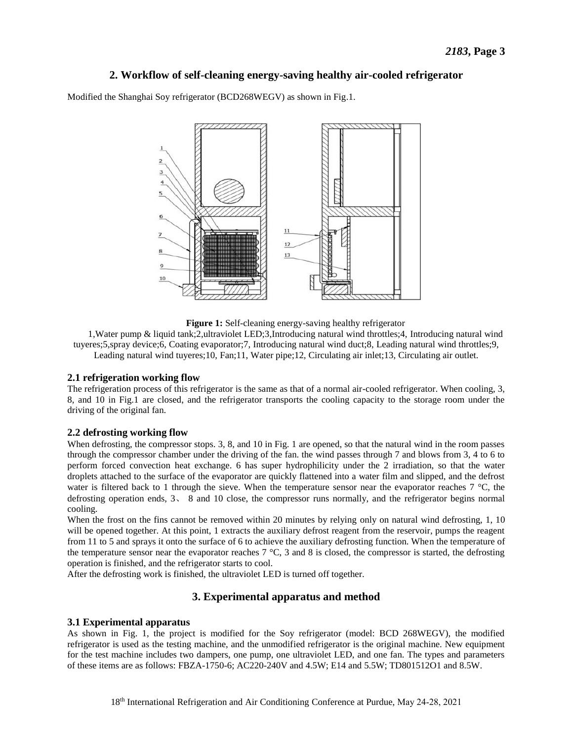### **2. Workflow of self-cleaning energy-saving healthy air-cooled refrigerator**

Modified the Shanghai Soy refrigerator (BCD268WEGV) as shown in Fig.1.



**Figure 1:** Self-cleaning energy-saving healthy refrigerator

1,Water pump & liquid tank;2,ultraviolet LED;3,Introducing natural wind throttles;4, Introducing natural wind tuyeres;5,spray device;6, Coating evaporator;7, Introducing natural wind duct;8, Leading natural wind throttles;9, Leading natural wind tuyeres;10, Fan;11, Water pipe;12, Circulating air inlet;13, Circulating air outlet.

### **2.1 refrigeration working flow**

The refrigeration process of this refrigerator is the same as that of a normal air-cooled refrigerator. When cooling, 3, 8, and 10 in Fig.1 are closed, and the refrigerator transports the cooling capacity to the storage room under the driving of the original fan.

### **2.2 defrosting working flow**

When defrosting, the compressor stops. 3, 8, and 10 in Fig. 1 are opened, so that the natural wind in the room passes through the compressor chamber under the driving of the fan. the wind passes through 7 and blows from 3, 4 to 6 to perform forced convection heat exchange. 6 has super hydrophilicity under the 2 irradiation, so that the water droplets attached to the surface of the evaporator are quickly flattened into a water film and slipped, and the defrost water is filtered back to 1 through the sieve. When the temperature sensor near the evaporator reaches  $7 \text{ C}$ , the defrosting operation ends, 3、 8 and 10 close, the compressor runs normally, and the refrigerator begins normal cooling.

When the frost on the fins cannot be removed within 20 minutes by relying only on natural wind defrosting, 1, 10 will be opened together. At this point, 1 extracts the auxiliary defrost reagent from the reservoir, pumps the reagent from 11 to 5 and sprays it onto the surface of 6 to achieve the auxiliary defrosting function. When the temperature of the temperature sensor near the evaporator reaches  $7 \text{ C}$ , 3 and 8 is closed, the compressor is started, the defrosting operation is finished, and the refrigerator starts to cool.

After the defrosting work is finished, the ultraviolet LED is turned off together.

### **3. Experimental apparatus and method**

### **3.1 Experimental apparatus**

As shown in Fig. 1, the project is modified for the Soy refrigerator (model: BCD 268WEGV), the modified refrigerator is used as the testing machine, and the unmodified refrigerator is the original machine. New equipment for the test machine includes two dampers, one pump, one ultraviolet LED, and one fan. The types and parameters of these items are as follows: FBZA-1750-6; AC220-240V and 4.5W; E14 and 5.5W; TD801512O1 and 8.5W.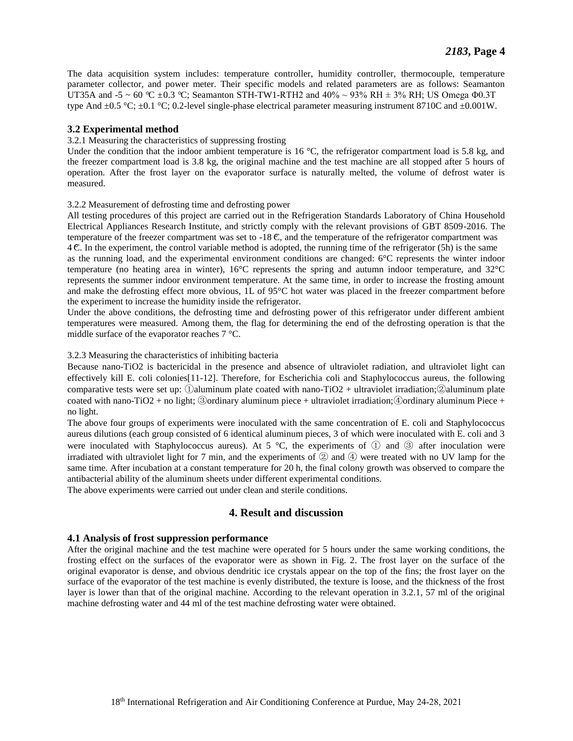The data acquisition system includes: temperature controller, humidity controller, thermocouple, temperature parameter collector, and power meter. Their specific models and related parameters are as follows: Seamanton UT35A and -5 ~ 60 °C  $\pm$ 0.3 °C; Seamanton STH-TW1-RTH2 and 40% ~ 93% RH  $\pm$  3% RH; US Omega Φ0.3T type And  $\pm 0.5 \text{ C}$ ;  $\pm 0.1 \text{ C}$ ; 0.2-level single-phase electrical parameter measuring instrument 8710C and  $\pm 0.001 \text{W}$ .

### **3.2 Experimental method**

### 3.2.1 Measuring the characteristics of suppressing frosting

Under the condition that the indoor ambient temperature is 16  $\degree$ C, the refrigerator compartment load is 5.8 kg, and the freezer compartment load is 3.8 kg, the original machine and the test machine are all stopped after 5 hours of operation. After the frost layer on the evaporator surface is naturally melted, the volume of defrost water is measured.

### 3.2.2 Measurement of defrosting time and defrosting power

All testing procedures of this project are carried out in the Refrigeration Standards Laboratory of China Household Electrical Appliances Research Institute, and strictly comply with the relevant provisions of GBT 8509-2016. The temperature of the freezer compartment was set to  $-18$  C, and the temperature of the refrigerator compartment was  $4 \text{ C}$ . In the experiment, the control variable method is adopted, the running time of the refrigerator (5h) is the same as the running load, and the experimental environment conditions are changed:  $6\degree$ C represents the winter indoor temperature (no heating area in winter),  $16\text{°C}$  represents the spring and autumn indoor temperature, and 32 $\text{°C}$ represents the summer indoor environment temperature. At the same time, in order to increase the frosting amount and make the defrosting effect more obvious,  $1L$  of 95  $\mathcal C$  hot water was placed in the freezer compartment before the experiment to increase the humidity inside the refrigerator.

Under the above conditions, the defrosting time and defrosting power of this refrigerator under different ambient temperatures were measured. Among them, the flag for determining the end of the defrosting operation is that the middle surface of the evaporator reaches 7 °C.

### 3.2.3 Measuring the characteristics of inhibiting bacteria

Because nano-TiO2 is bactericidal in the presence and absence of ultraviolet radiation, and ultraviolet light can effectively kill E. coli colonies[11-12]. Therefore, for Escherichia coli and Staphylococcus aureus, the following comparative tests were set up: ①aluminum plate coated with nano-TiO2 + ultraviolet irradiation;②aluminum plate coated with nano-TiO2 + no light; ③ordinary aluminum piece + ultraviolet irradiation;④ordinary aluminum Piece + no light.

The above four groups of experiments were inoculated with the same concentration of E. coli and Staphylococcus aureus dilutions (each group consisted of 6 identical aluminum pieces, 3 of which were inoculated with E. coli and 3 were inoculated with Staphylococcus aureus). At 5 °C, the experiments of  $\mathbb Q$  and  $\mathbb Q$  after inoculation were irradiated with ultraviolet light for 7 min, and the experiments of  $\circled{2}$  and  $\circled{4}$  were treated with no UV lamp for the same time. After incubation at a constant temperature for 20 h, the final colony growth was observed to compare the antibacterial ability of the aluminum sheets under different experimental conditions.

The above experiments were carried out under clean and sterile conditions.

### **4. Result and discussion**

### **4.1 Analysis of frost suppression performance**

After the original machine and the test machine were operated for 5 hours under the same working conditions, the frosting effect on the surfaces of the evaporator were as shown in Fig. 2. The frost layer on the surface of the original evaporator is dense, and obvious dendritic ice crystals appear on the top of the fins; the frost layer on the surface of the evaporator of the test machine is evenly distributed, the texture is loose, and the thickness of the frost layer is lower than that of the original machine. According to the relevant operation in 3.2.1, 57 ml of the original machine defrosting water and 44 ml of the test machine defrosting water were obtained.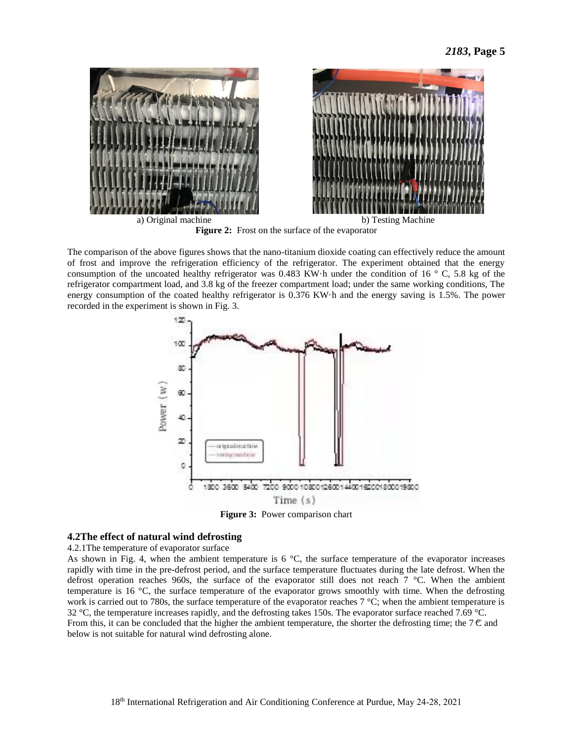

Figure 2: Frost on the surface of the evaporator

 The comparison of the above figures shows that the nano-titanium dioxide coating can effectively reduce the amount of frost and improve the refrigeration efficiency of the refrigerator. The experiment obtained that the energy consumption of the uncoated healthy refrigerator was 0.483 KW h under the condition of 16  $\degree$ C, 5.8 kg of the refrigerator compartment load, and 3.8 kg of the freezer compartment load; under the same working conditions, The energy consumption of the coated healthy refrigerator is 0.376 KW h and the energy saving is 1.5%. The power recorded in the experiment is shown in Fig. 3.



**Figure 3:** Power comparison chart

### **4.2The effect of natural wind defrosting**

4.2.1The temperature of evaporator surface

As shown in Fig. 4, when the ambient temperature is  $6\,$  °C, the surface temperature of the evaporator increases rapidly with time in the pre-defrost period, and the surface temperature fluctuates during the late defrost. When the defrost operation reaches 960s, the surface of the evaporator still does not reach  $7 \text{ }^{\circ}$ . When the ambient temperature is 16 °C, the surface temperature of the evaporator grows smoothly with time. When the defrosting work is carried out to 780s, the surface temperature of the evaporator reaches 7 °C; when the ambient temperature is 32 °C, the temperature increases rapidly, and the defrosting takes 150s. The evaporator surface reached 7.69 °C. From this, it can be concluded that the higher the ambient temperature, the shorter the defrosting time; the  $7 \text{ C}$  and below is not suitable for natural wind defrosting alone.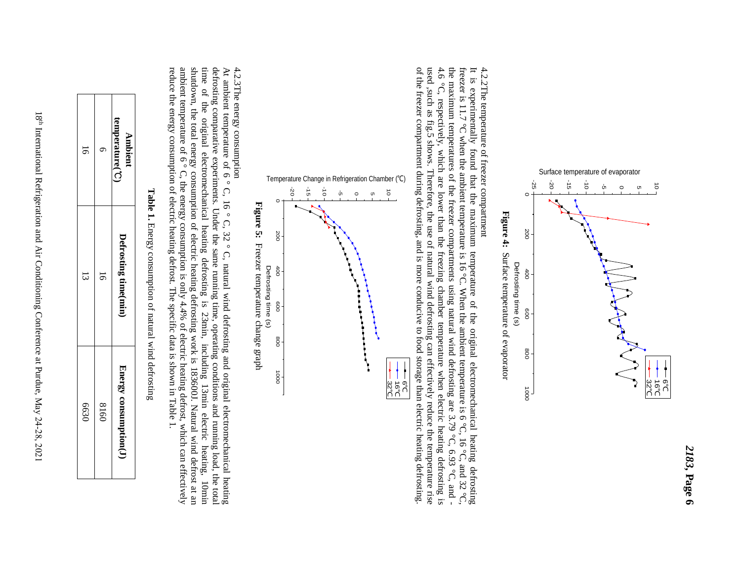

## 4.2.2The temperature of freezer compartment 4.2.2The temperature of freezer compartment

It is experimentally found that the maximum temperature of the original electromechanical heating defrosting  $4.6$ of the freezer compartment during defrosting, and is more conducive to food storage than electric heating defrosting freezer is 11.7 °C when the ambient tem It is experimentally found that the maximum temperature of the original electromechanical heating defrosting perature is 16 °C. When the ambient temperature is 6 °C, 16 °C, and 32 °C, the maximum temperatures of the freezer compartments using natural wind defrosting are  $3.79 \, \text{C}$ ,  $9.9 \, \text{C}$ ,  $9.9 \, \text{C}$ ,  $9.9 \, \text{C}$ 4.6 °C, respectively, which are lower than the freezing chamber temperature when electric heating defrosting is used ,such as fig.5 shows. Therefore, the use of natural wind defrosting can effectively reduce the temperature rise of the freezer compartment during defrosting, and is more conducive to food storage than electric heating defrosting.



# 4.2.3The energy consumption

defrosting comparative experiments. Under the same running time, operating conditions and running load, the total 4.2.3The energy consumption<br>At ambient temperature of 6 °C, 16 °C, 32 °C, natural wind defrosting and original electromechanical heating<br>At ambient temperature of 6 °C, 16 °C, 32 °C, natural wind defrosting and original e reduce the energy consumption of electric heating defrost. The specific data is shown in Table 1. time of the original electromechanical heating defrosting reduce the energy consumption of electric heating defrost. The specific data is shown in Table 1. ambient temperature of 6 °C, the energy consumption is only 4.4% of electric heating defrost, which can effectively shutdown, the total energy consumption of electric heating defrosting work is 18360 time of the original electromechanical heating defrosting is 23min, including 13min electric heating, 10min defrosting comparative experiments. Under the sam At ambient temperature of  $\circ$   $\circ$ ,  $\circ$   $\circ$ ,  $\circ$   $\circ$ ,  $\circ$   $\circ$ ,  $\circ$   $\circ$ ,  $\circ$ ,  $\circ$ ,  $\circ$ ,  $\circ$ ,  $\circ$ ,  $\circ$ ,  $\circ$ ,  $\circ$ ,  $\circ$ ,  $\circ$ ,  $\circ$ ,  $\circ$ ,  $\circ$ ,  $\circ$ ,  $\circ$ ,  $\circ$ ,  $\circ$ ,  $\circ$ ,  $\circ$ ,  $\circ$ ,  $\circ$ ,  $\circ$ ,  $\circ$ ,  $\$  $\sim$ e running time, operating conditions and running load, the total is 23min, including 13min electric heating, 10min 0J. Natural wind defrost at an

| ā    | ╖    | temperature(C)<br><b>Ambient</b> |                                   |
|------|------|----------------------------------|-----------------------------------|
| ವ    | 5    | Defrosting time(min,             | ֖֧֢ׅ֧ׅ֧֧֚֚֚֚֚֚֚֚֚֚֚֚֚֚֚֚֬֡֡֘֜֓֝֓֝ |
| 0299 | 0918 | L'hergy consumption(.)           |                                   |

**Table 1.** Energy consumption of natural wind defrosting

18<sup>th</sup> International Refrigeration and Air Conditioning Conference at Purdue, May 24-28, 2021 18th International Refrigeration and Air Conditioning Conference at Purdue, May 24-28, 2021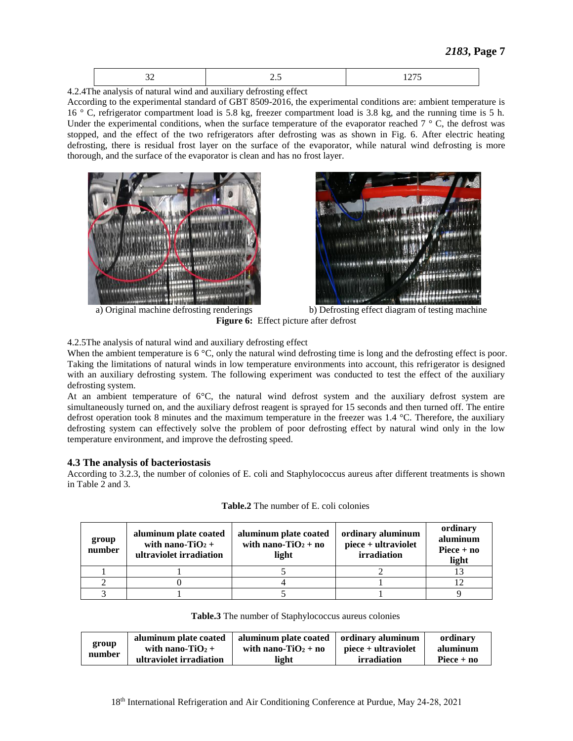|--|--|--|

4.2.4The analysis of natural wind and auxiliary defrosting effect

 According to the experimental standard of GBT 8509-2016, the experimental conditions are: ambient temperature is 16 °C, refrigerator compartment load is 5.8 kg, freezer compartment load is 3.8 kg, and the running time is 5 h. Under the experimental conditions, when the surface temperature of the evaporator reached  $7 \degree C$ , the defrost was stopped, and the effect of the two refrigerators after defrosting was as shown in Fig. 6. After electric heating defrosting, there is residual frost layer on the surface of the evaporator, while natural wind defrosting is more thorough, and the surface of the evaporator is clean and has no frost layer.





 a) Original machine defrosting renderings b) Defrosting effect diagram of testing machine **Figure 6:** Effect picture after defrost

4.2.5The analysis of natural wind and auxiliary defrosting effect

When the ambient temperature is  $6 \text{ C}$ , only the natural wind defrosting time is long and the defrosting effect is poor. Taking the limitations of natural winds in low temperature environments into account, this refrigerator is designed with an auxiliary defrosting system. The following experiment was conducted to test the effect of the auxiliary defrosting system.

At an ambient temperature of  $6\text{ }^\circ\text{C}$ , the natural wind defrost system and the auxiliary defrost system are simultaneously turned on, and the auxiliary defrost reagent is sprayed for 15 seconds and then turned off. The entire defrost operation took 8 minutes and the maximum temperature in the freezer was 1.4 °C. Therefore, the auxiliary defrosting system can effectively solve the problem of poor defrosting effect by natural wind only in the low temperature environment, and improve the defrosting speed.

### **4.3 The analysis of bacteriostasis**

 According to 3.2.3, the number of colonies of E. coli and Staphylococcus aureus after different treatments is shown in Table 2 and 3.

| group<br>number | aluminum plate coated<br>with nano-TiO <sub>2</sub> +<br>ultraviolet irradiation | aluminum plate coated<br>with nano-TiO <sub>2</sub> + no<br>light | ordinary aluminum<br>piece + ultraviolet<br>irradiation | ordinary<br>aluminum<br>$\text{Piece} + \text{no}$<br>light |
|-----------------|----------------------------------------------------------------------------------|-------------------------------------------------------------------|---------------------------------------------------------|-------------------------------------------------------------|
|                 |                                                                                  |                                                                   |                                                         |                                                             |
|                 |                                                                                  |                                                                   |                                                         |                                                             |
|                 |                                                                                  |                                                                   |                                                         |                                                             |

**Table.2** The number of E. coli colonies

**Table.3** The number of Staphylococcus aureus colonies

| group<br>number | aluminum plate coated<br>with nano-TiO <sub>2</sub> +<br>ultraviolet irradiation | aluminum plate coated   ordinary aluminum<br>with nano-TiO <sub>2</sub> + no<br>light | piece + ultraviolet<br>irradiation | ordinary<br>aluminum<br>Piece $+$ no |
|-----------------|----------------------------------------------------------------------------------|---------------------------------------------------------------------------------------|------------------------------------|--------------------------------------|
|-----------------|----------------------------------------------------------------------------------|---------------------------------------------------------------------------------------|------------------------------------|--------------------------------------|